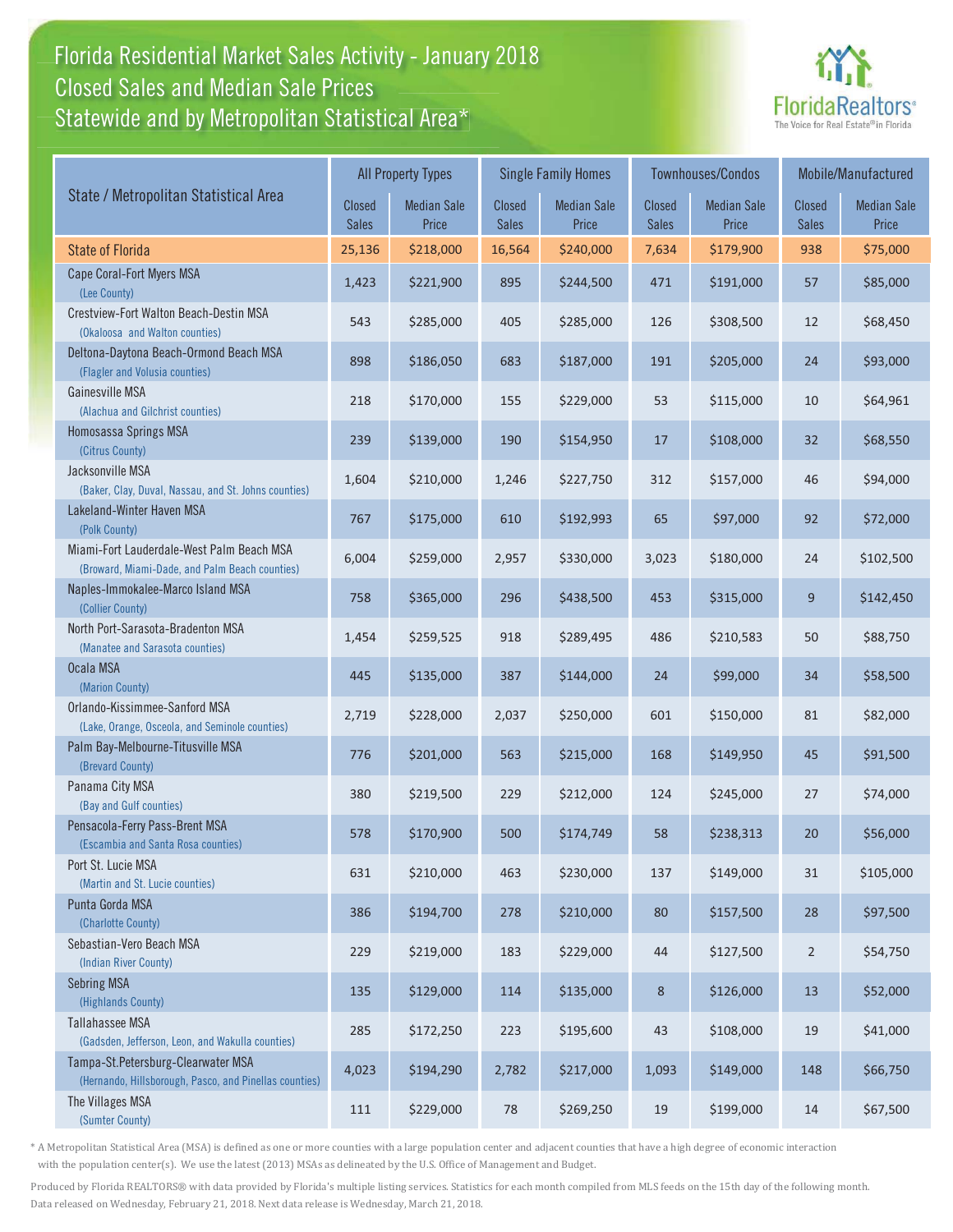## Florida Residential Market Sales Activity - January 2018 Florida Residential Market Sales Activity Statewide and by Metropolitan Statistical Area $^{\star}$ Closed Sales and Median Sale Prices



|                                                                                              | <b>All Property Types</b>     |                             |                 | <b>Single Family Homes</b>  |                        | <b>Townhouses/Condos</b>    | Mobile/Manufactured    |                             |
|----------------------------------------------------------------------------------------------|-------------------------------|-----------------------------|-----------------|-----------------------------|------------------------|-----------------------------|------------------------|-----------------------------|
| State / Metropolitan Statistical Area                                                        | <b>Closed</b><br><b>Sales</b> | <b>Median Sale</b><br>Price | Closed<br>Sales | <b>Median Sale</b><br>Price | Closed<br><b>Sales</b> | <b>Median Sale</b><br>Price | Closed<br><b>Sales</b> | <b>Median Sale</b><br>Price |
| <b>State of Florida</b>                                                                      | 25,136                        | \$218,000                   | 16,564          | \$240,000                   | 7,634                  | \$179,900                   | 938                    | \$75,000                    |
| Cape Coral-Fort Myers MSA<br>(Lee County)                                                    | 1,423                         | \$221,900                   | 895             | \$244,500                   | 471                    | \$191,000                   | 57                     | \$85,000                    |
| Crestview-Fort Walton Beach-Destin MSA<br>(Okaloosa and Walton counties)                     | 543                           | \$285,000                   | 405             | \$285,000                   | 126                    | \$308,500                   | 12                     | \$68,450                    |
| Deltona-Daytona Beach-Ormond Beach MSA<br>(Flagler and Volusia counties)                     | 898                           | \$186,050                   | 683             | \$187,000                   | 191                    | \$205,000                   | 24                     | \$93,000                    |
| <b>Gainesville MSA</b><br>(Alachua and Gilchrist counties)                                   | 218                           | \$170,000                   | 155             | \$229,000                   | 53                     | \$115,000                   | 10                     | \$64,961                    |
| Homosassa Springs MSA<br>(Citrus County)                                                     | 239                           | \$139,000                   | 190             | \$154,950                   | 17                     | \$108,000                   | 32                     | \$68,550                    |
| Jacksonville MSA<br>(Baker, Clay, Duval, Nassau, and St. Johns counties)                     | 1,604                         | \$210,000                   | 1,246           | \$227,750                   | 312                    | \$157,000                   | 46                     | \$94,000                    |
| Lakeland-Winter Haven MSA<br>(Polk County)                                                   | 767                           | \$175,000                   | 610             | \$192,993                   | 65                     | \$97,000                    | 92                     | \$72,000                    |
| Miami-Fort Lauderdale-West Palm Beach MSA<br>(Broward, Miami-Dade, and Palm Beach counties)  | 6,004                         | \$259,000                   | 2,957           | \$330,000                   | 3,023                  | \$180,000                   | 24                     | \$102,500                   |
| Naples-Immokalee-Marco Island MSA<br>(Collier County)                                        | 758                           | \$365,000                   | 296             | \$438,500                   | 453                    | \$315,000                   | 9                      | \$142,450                   |
| North Port-Sarasota-Bradenton MSA<br>(Manatee and Sarasota counties)                         | 1,454                         | \$259,525                   | 918             | \$289,495                   | 486                    | \$210,583                   | 50                     | \$88,750                    |
| Ocala MSA<br>(Marion County)                                                                 | 445                           | \$135,000                   | 387             | \$144,000                   | 24                     | \$99,000                    | 34                     | \$58,500                    |
| Orlando-Kissimmee-Sanford MSA<br>(Lake, Orange, Osceola, and Seminole counties)              | 2,719                         | \$228,000                   | 2,037           | \$250,000                   | 601                    | \$150,000                   | 81                     | \$82,000                    |
| Palm Bay-Melbourne-Titusville MSA<br>(Brevard County)                                        | 776                           | \$201,000                   | 563             | \$215,000                   | 168                    | \$149,950                   | 45                     | \$91,500                    |
| Panama City MSA<br>(Bay and Gulf counties)                                                   | 380                           | \$219,500                   | 229             | \$212,000                   | 124                    | \$245,000                   | 27                     | \$74,000                    |
| Pensacola-Ferry Pass-Brent MSA<br>(Escambia and Santa Rosa counties)                         | 578                           | \$170,900                   | 500             | \$174,749                   | 58                     | \$238,313                   | 20                     | \$56,000                    |
| Port St. Lucie MSA<br>(Martin and St. Lucie counties)                                        | 631                           | \$210,000                   | 463             | \$230,000                   | 137                    | \$149,000                   | 31                     | \$105,000                   |
| Punta Gorda MSA<br>(Charlotte County)                                                        | 386                           | \$194,700                   | 278             | \$210,000                   | 80                     | \$157,500                   | 28                     | \$97,500                    |
| Sebastian-Vero Beach MSA<br>(Indian River County)                                            | 229                           | \$219,000                   | 183             | \$229,000                   | $44$                   | \$127,500                   | $\overline{2}$         | \$54,750                    |
| <b>Sebring MSA</b><br>(Highlands County)                                                     | 135                           | \$129,000                   | 114             | \$135,000                   | 8                      | \$126,000                   | 13                     | \$52,000                    |
| Tallahassee MSA<br>(Gadsden, Jefferson, Leon, and Wakulla counties)                          | 285                           | \$172,250                   | 223             | \$195,600                   | 43                     | \$108,000                   | 19                     | \$41,000                    |
| Tampa-St.Petersburg-Clearwater MSA<br>(Hernando, Hillsborough, Pasco, and Pinellas counties) | 4,023                         | \$194,290                   | 2,782           | \$217,000                   | 1,093                  | \$149,000                   | 148                    | \$66,750                    |
| The Villages MSA<br>(Sumter County)                                                          | 111                           | \$229,000                   | 78              | \$269,250                   | 19                     | \$199,000                   | 14                     | \$67,500                    |

\* A Metropolitan Statistical Area (MSA) is defined as one or more counties with a large population center and adjacent counties that have a high degree of economic interaction with the population center(s). We use the latest (2013) MSAs as delineated by the U.S. Office of Management and Budget.

Produced by Florida REALTORS® with data provided by Florida's multiple listing services. Statistics for each month compiled from MLS feeds on the 15th day of the following month. Data released on Wednesday, February 21, 2018. Next data release is Wednesday, March 21, 2018.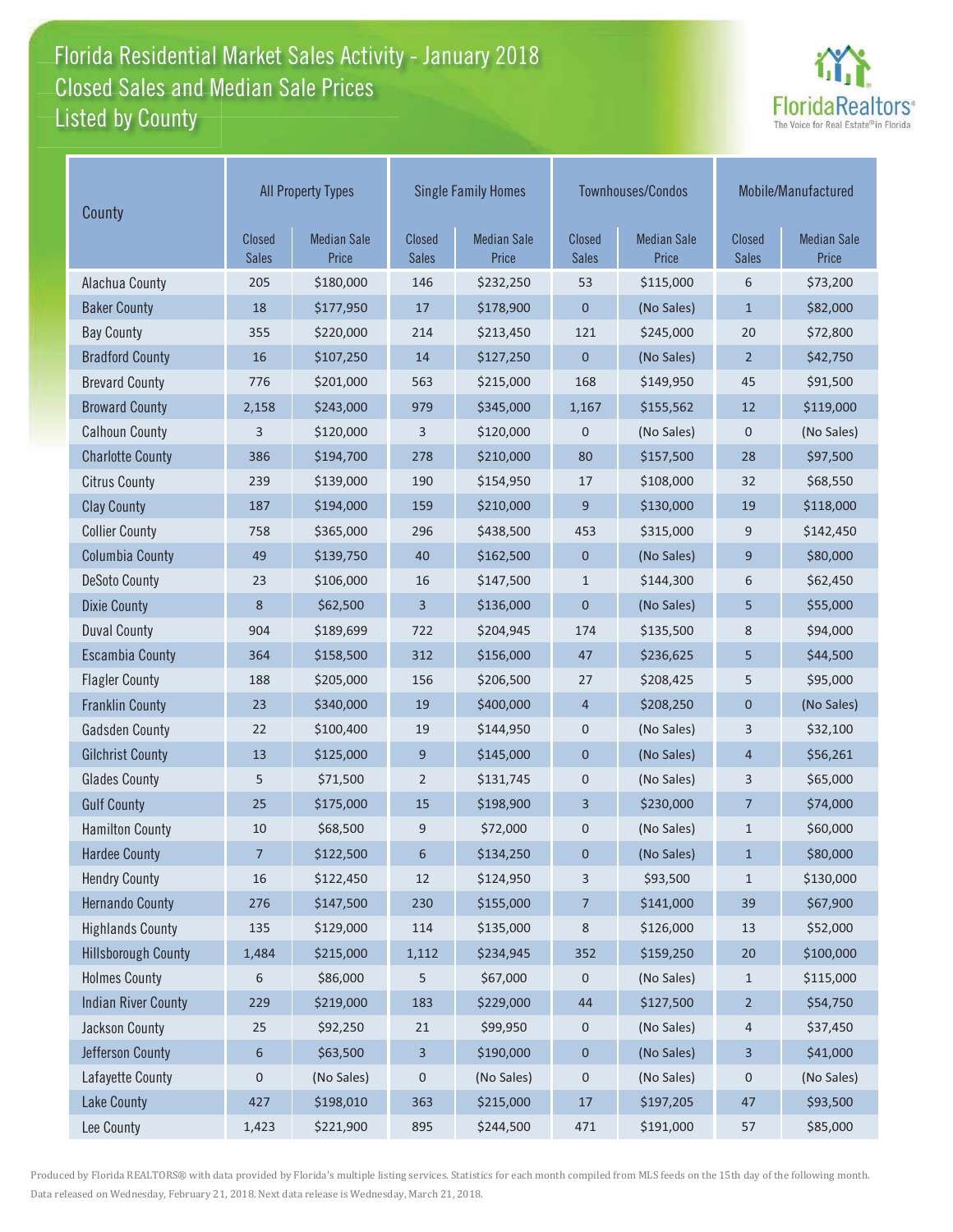## Florida Residential Market Sales Activity - January 2018 Florida Residential Market Sales Activity Listed by County Closed Sales and Median Sale Prices



| County                     | <b>All Property Types</b>     |                             |                               | <b>Single Family Homes</b>  |                               | Townhouses/Condos           | Mobile/Manufactured    |                             |
|----------------------------|-------------------------------|-----------------------------|-------------------------------|-----------------------------|-------------------------------|-----------------------------|------------------------|-----------------------------|
|                            | <b>Closed</b><br><b>Sales</b> | <b>Median Sale</b><br>Price | <b>Closed</b><br><b>Sales</b> | <b>Median Sale</b><br>Price | <b>Closed</b><br><b>Sales</b> | <b>Median Sale</b><br>Price | Closed<br><b>Sales</b> | <b>Median Sale</b><br>Price |
| Alachua County             | 205                           | \$180,000                   | 146                           | \$232,250                   | 53                            | \$115,000                   | 6                      | \$73,200                    |
| <b>Baker County</b>        | 18                            | \$177,950                   | 17                            | \$178,900                   | 0                             | (No Sales)                  | $\mathbf{1}$           | \$82,000                    |
| <b>Bay County</b>          | 355                           | \$220,000                   | 214                           | \$213,450                   | 121                           | \$245,000                   | 20                     | \$72,800                    |
| <b>Bradford County</b>     | 16                            | \$107,250                   | 14                            | \$127,250                   | $\mathbf 0$                   | (No Sales)                  | $\overline{2}$         | \$42,750                    |
| <b>Brevard County</b>      | 776                           | \$201,000                   | 563                           | \$215,000                   | 168                           | \$149,950                   | 45                     | \$91,500                    |
| <b>Broward County</b>      | 2,158                         | \$243,000                   | 979                           | \$345,000                   | 1,167                         | \$155,562                   | 12                     | \$119,000                   |
| <b>Calhoun County</b>      | 3                             | \$120,000                   | 3                             | \$120,000                   | 0                             | (No Sales)                  | $\mathsf 0$            | (No Sales)                  |
| <b>Charlotte County</b>    | 386                           | \$194,700                   | 278                           | \$210,000                   | 80                            | \$157,500                   | 28                     | \$97,500                    |
| <b>Citrus County</b>       | 239                           | \$139,000                   | 190                           | \$154,950                   | 17                            | \$108,000                   | 32                     | \$68,550                    |
| <b>Clay County</b>         | 187                           | \$194,000                   | 159                           | \$210,000                   | 9                             | \$130,000                   | 19                     | \$118,000                   |
| <b>Collier County</b>      | 758                           | \$365,000                   | 296                           | \$438,500                   | 453                           | \$315,000                   | 9                      | \$142,450                   |
| <b>Columbia County</b>     | 49                            | \$139,750                   | 40                            | \$162,500                   | $\pmb{0}$                     | (No Sales)                  | 9                      | \$80,000                    |
| <b>DeSoto County</b>       | 23                            | \$106,000                   | 16                            | \$147,500                   | $\mathbf{1}$                  | \$144,300                   | 6                      | \$62,450                    |
| <b>Dixie County</b>        | 8                             | \$62,500                    | 3                             | \$136,000                   | 0                             | (No Sales)                  | 5                      | \$55,000                    |
| <b>Duval County</b>        | 904                           | \$189,699                   | 722                           | \$204,945                   | 174                           | \$135,500                   | 8                      | \$94,000                    |
| <b>Escambia County</b>     | 364                           | \$158,500                   | 312                           | \$156,000                   | 47                            | \$236,625                   | 5                      | \$44,500                    |
| <b>Flagler County</b>      | 188                           | \$205,000                   | 156                           | \$206,500                   | 27                            | \$208,425                   | 5                      | \$95,000                    |
| <b>Franklin County</b>     | 23                            | \$340,000                   | 19                            | \$400,000                   | $\overline{4}$                | \$208,250                   | $\pmb{0}$              | (No Sales)                  |
| <b>Gadsden County</b>      | 22                            | \$100,400                   | 19                            | \$144,950                   | 0                             | (No Sales)                  | 3                      | \$32,100                    |
| <b>Gilchrist County</b>    | 13                            | \$125,000                   | 9                             | \$145,000                   | $\mathbf 0$                   | (No Sales)                  | $\overline{4}$         | \$56,261                    |
| <b>Glades County</b>       | 5                             | \$71,500                    | $\overline{2}$                | \$131,745                   | 0                             | (No Sales)                  | 3                      | \$65,000                    |
| <b>Gulf County</b>         | 25                            | \$175,000                   | 15                            | \$198,900                   | 3                             | \$230,000                   | $\overline{7}$         | \$74,000                    |
| <b>Hamilton County</b>     | 10                            | \$68,500                    | 9                             | \$72,000                    | 0                             | (No Sales)                  | 1                      | \$60,000                    |
| <b>Hardee County</b>       | $\overline{7}$                | \$122,500                   | 6                             | \$134,250                   | $\mathbf 0$                   | (No Sales)                  | $\mathbf{1}$           | \$80,000                    |
| <b>Hendry County</b>       | 16                            | \$122,450                   | 12                            | \$124,950                   | 3                             | \$93,500                    | $\mathbf{1}$           | \$130,000                   |
| <b>Hernando County</b>     | 276                           | \$147,500                   | 230                           | \$155,000                   | 7                             | \$141,000                   | 39                     | \$67,900                    |
| <b>Highlands County</b>    | 135                           | \$129,000                   | 114                           | \$135,000                   | 8                             | \$126,000                   | 13                     | \$52,000                    |
| <b>Hillsborough County</b> | 1,484                         | \$215,000                   | 1,112                         | \$234,945                   | 352                           | \$159,250                   | $20\,$                 | \$100,000                   |
| <b>Holmes County</b>       | 6                             | \$86,000                    | 5                             | \$67,000                    | 0                             | (No Sales)                  | $\mathbf{1}$           | \$115,000                   |
| <b>Indian River County</b> | 229                           | \$219,000                   | 183                           | \$229,000                   | 44                            | \$127,500                   | $\overline{2}$         | \$54,750                    |
| Jackson County             | $25\,$                        | \$92,250                    | 21                            | \$99,950                    | 0                             | (No Sales)                  | 4                      | \$37,450                    |
| Jefferson County           | 6                             | \$63,500                    | 3                             | \$190,000                   | 0                             | (No Sales)                  | 3                      | \$41,000                    |
| Lafayette County           | $\mathsf 0$                   | (No Sales)                  | $\pmb{0}$                     | (No Sales)                  | 0                             | (No Sales)                  | 0                      | (No Sales)                  |
| <b>Lake County</b>         | 427                           | \$198,010                   | 363                           | \$215,000                   | $17\,$                        | \$197,205                   | 47                     | \$93,500                    |
| Lee County                 | 1,423                         | \$221,900                   | 895                           | \$244,500                   | 471                           | \$191,000                   | 57                     | \$85,000                    |

Produced by Florida REALTORS® with data provided by Florida's multiple listing services. Statistics for each month compiled from MLS feeds on the 15th day of the following month. Data released on Wednesday, February 21, 2018. Next data release is Wednesday, March 21, 2018.